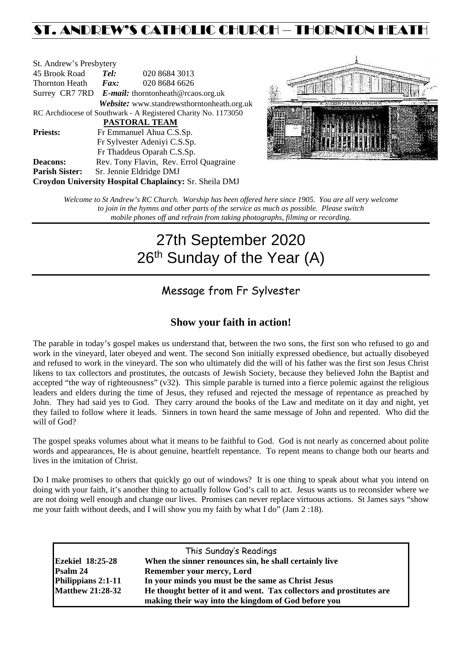# ST. ANDREW'S CATHOLIC CHURCH – THORNTON HEAT

| St. Andrew's Presbytery                                        |                                                      |                                            |  |  |  |
|----------------------------------------------------------------|------------------------------------------------------|--------------------------------------------|--|--|--|
| 45 Brook Road                                                  | Tel:<br>020 8684 3013                                |                                            |  |  |  |
| Thornton Heath                                                 | $\boldsymbol{Fax:}$                                  | 020 8684 6626                              |  |  |  |
|                                                                | Surrey CR7 7RD $E$ -mail: thorntonheath@rcaos.org.uk |                                            |  |  |  |
|                                                                |                                                      | Website: www.standrewsthorntonheath.org.uk |  |  |  |
| RC Archdiocese of Southwark - A Registered Charity No. 1173050 |                                                      |                                            |  |  |  |
| <b>PASTORAL TEAM</b>                                           |                                                      |                                            |  |  |  |
| <b>Priests:</b>                                                |                                                      | Fr Emmanuel Ahua C.S.Sp.                   |  |  |  |
|                                                                | Fr Sylvester Adeniyi C.S.Sp.                         |                                            |  |  |  |
|                                                                | Fr Thaddeus Oparah C.S.Sp.                           |                                            |  |  |  |
| <b>Deacons:</b>                                                |                                                      | Rev. Tony Flavin, Rev. Errol Quagraine     |  |  |  |
| <b>Parish Sister:</b>                                          | Sr. Jennie Eldridge DMJ                              |                                            |  |  |  |
| <b>Croydon University Hospital Chaplaincy: Sr. Sheila DMJ</b>  |                                                      |                                            |  |  |  |



*Welcome to St Andrew's RC Church. Worship has been offered here since 1905. You are all very welcome to join in the hymns and other parts of the service as much as possible. Please switch mobile phones off and refrain from taking photographs, filming or recording.*

# 27th September 2020 26<sup>th</sup> Sunday of the Year (A)

# Message from Fr Sylvester

## **Show your faith in action!**

The parable in today's gospel makes us understand that, between the two sons, the first son who refused to go and work in the vineyard, later obeyed and went. The second Son initially expressed obedience, but actually disobeyed and refused to work in the vineyard. The son who ultimately did the will of his father was the first son Jesus Christ likens to tax collectors and prostitutes, the outcasts of Jewish Society, because they believed John the Baptist and accepted "the way of righteousness" (v32). This simple parable is turned into a fierce polemic against the religious leaders and elders during the time of Jesus, they refused and rejected the message of repentance as preached by John. They had said yes to God. They carry around the books of the Law and meditate on it day and night, yet they failed to follow where it leads. Sinners in town heard the same message of John and repented. Who did the will of God?

The gospel speaks volumes about what it means to be faithful to God. God is not nearly as concerned about polite words and appearances, He is about genuine, heartfelt repentance. To repent means to change both our hearts and lives in the imitation of Christ.

Do I make promises to others that quickly go out of windows? It is one thing to speak about what you intend on doing with your faith, it's another thing to actually follow God's call to act. Jesus wants us to reconsider where we are not doing well enough and change our lives. Promises can never replace virtuous actions. St James says "show me your faith without deeds, and I will show you my faith by what I do" (Jam 2 :18).

|                         | This Sunday's Readings                                               |
|-------------------------|----------------------------------------------------------------------|
| <b>Ezekiel 18:25-28</b> | When the sinner renounces sin, he shall certainly live               |
| Psalm 24                | Remember your mercy, Lord                                            |
| Philippians 2:1-11      | In your minds you must be the same as Christ Jesus                   |
| <b>Matthew 21:28-32</b> | He thought better of it and went. Tax collectors and prostitutes are |
|                         | making their way into the kingdom of God before you                  |